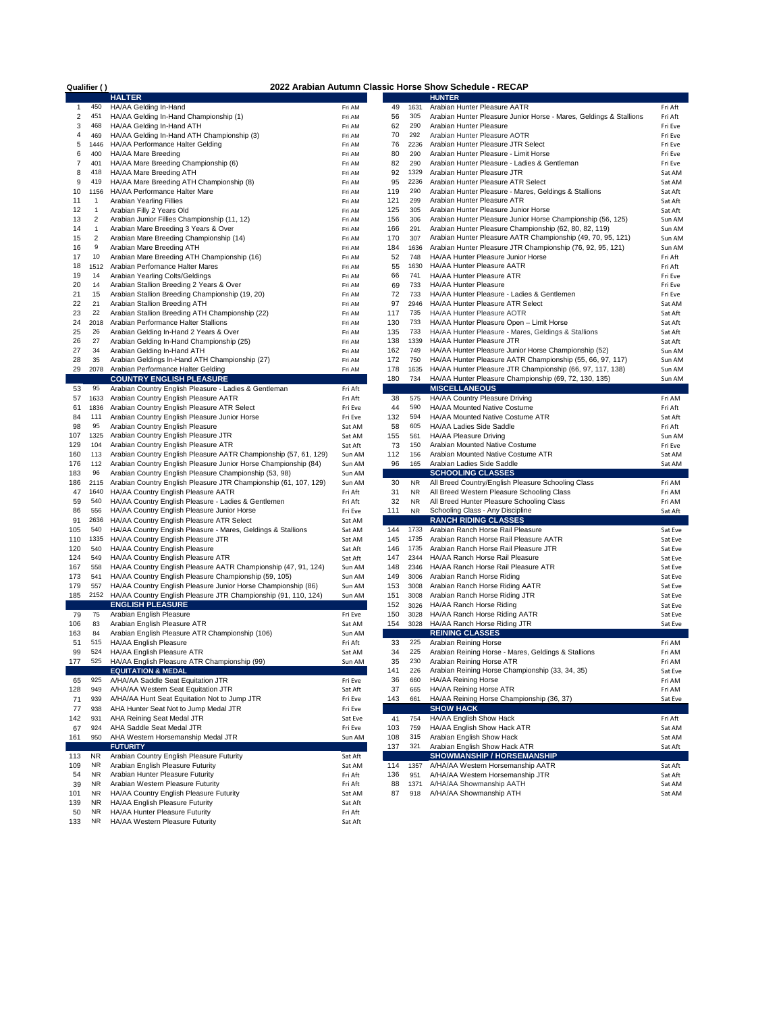| Qualifier () |                         | 2022 Arabian Autumn Classic Horse Show Schedule - RECAP          |         |     |           |                                                                    |         |  |  |  |  |  |
|--------------|-------------------------|------------------------------------------------------------------|---------|-----|-----------|--------------------------------------------------------------------|---------|--|--|--|--|--|
|              |                         | <b>HALTER</b>                                                    |         |     |           | <b>HUNTER</b>                                                      |         |  |  |  |  |  |
| 1            | 450                     | HA/AA Gelding In-Hand                                            | Fri AM  | 49  | 1631      | Arabian Hunter Pleasure AATR                                       | Fri Aft |  |  |  |  |  |
| 2            | 451                     | HA/AA Gelding In-Hand Championship (1)                           | Fri AM  | 56  | 305       | Arabian Hunter Pleasure Junior Horse - Mares, Geldings & Stallions | Fri Aft |  |  |  |  |  |
| 3            | 468                     | HA/AA Gelding In-Hand ATH                                        | Fri AM  | 62  | 290       | Arabian Hunter Pleasure                                            | Fri Eve |  |  |  |  |  |
| 4            | 469                     | HA/AA Gelding In-Hand ATH Championship (3)                       | Fri AM  | 70  | 292       | Arabian Hunter Pleasure AOTR                                       | Fri Eve |  |  |  |  |  |
| 5            | 1446                    | HA/AA Performance Halter Gelding                                 | Fri AM  | 76  | 2236      | Arabian Hunter Pleasure JTR Select                                 | Fri Eve |  |  |  |  |  |
| 6            | 400                     | HA/AA Mare Breeding                                              | Fri AM  | 80  | 290       | Arabian Hunter Pleasure - Limit Horse                              | Fri Eve |  |  |  |  |  |
| 7            | 401                     | HA/AA Mare Breeding Championship (6)                             | Fri AM  | 82  | 290       | Arabian Hunter Pleasure - Ladies & Gentleman                       | Fri Eve |  |  |  |  |  |
| 8            | 418                     | HA/AA Mare Breeding ATH                                          | Fri AM  | 92  | 1329      | Arabian Hunter Pleasure JTR                                        | Sat AM  |  |  |  |  |  |
|              |                         |                                                                  |         |     | 2236      |                                                                    |         |  |  |  |  |  |
| 9            | 419                     | HA/AA Mare Breeding ATH Championship (8)                         | Fri AM  | 95  |           | Arabian Hunter Pleasure ATR Select                                 | Sat AM  |  |  |  |  |  |
| 10           | 1156                    | HA/AA Performance Halter Mare                                    | Fri AM  | 119 | 290       | Arabian Hunter Pleasure - Mares, Geldings & Stallions              | Sat Aft |  |  |  |  |  |
| 11           | 1                       | Arabian Yearling Fillies                                         | Fri AM  | 121 | 299       | Arabian Hunter Pleasure ATR                                        | Sat Aft |  |  |  |  |  |
| 12           | 1                       | Arabian Filly 2 Years Old                                        | Fri AM  | 125 | 305       | Arabian Hunter Pleasure Junior Horse                               | Sat Aft |  |  |  |  |  |
| 13           | $\overline{2}$          | Arabian Junior Fillies Championship (11, 12)                     | Fri AM  | 156 | 306       | Arabian Hunter Pleasure Junior Horse Championship (56, 125)        | Sun AM  |  |  |  |  |  |
| 14           | $\mathbf{1}$            | Arabian Mare Breeding 3 Years & Over                             | Fri AM  | 166 | 291       | Arabian Hunter Pleasure Championship (62, 80, 82, 119)             | Sun AM  |  |  |  |  |  |
| 15           | $\overline{\mathbf{c}}$ | Arabian Mare Breeding Championship (14)                          | Fri AM  | 170 | 307       | Arabian Hunter Pleasure AATR Championship (49, 70, 95, 121)        | Sun AM  |  |  |  |  |  |
| 16           | 9                       | Arabian Mare Breeding ATH                                        | Fri AM  | 184 | 1636      | Arabian Hunter Pleasure JTR Championship (76, 92, 95, 121)         | Sun AM  |  |  |  |  |  |
| 17           | 10                      | Arabian Mare Breeding ATH Championship (16)                      | Fri AM  | 52  | 748       | HA/AA Hunter Pleasure Junior Horse                                 | Fri Aft |  |  |  |  |  |
| 18           | 1512                    | Arabian Perfornance Halter Mares                                 | Fri AM  | 55  | 1630      | HA/AA Hunter Pleasure AATR                                         | Fri Aft |  |  |  |  |  |
| 19           | 14                      | Arabian Yearling Colts/Geldings                                  | Fri AM  | 66  | 741       | HA/AA Hunter Pleasure ATR                                          | Fri Eve |  |  |  |  |  |
| 20           | 14                      | Arabian Stallion Breeding 2 Years & Over                         | Fri AM  | 69  | 733       | HA/AA Hunter Pleasure                                              | Fri Eve |  |  |  |  |  |
| 21           | 15                      | Arabian Stallion Breeding Championship (19, 20)                  | Fri AM  | 72  | 733       | HA/AA Hunter Pleasure - Ladies & Gentlemen                         |         |  |  |  |  |  |
|              | 21                      |                                                                  |         |     | 2946      |                                                                    | Fri Eve |  |  |  |  |  |
| 22           |                         | Arabian Stallion Breeding ATH                                    | Fri AM  | 97  |           | HA/AA Hunter Pleasure ATR Select                                   | Sat AM  |  |  |  |  |  |
| 23           | 22                      | Arabian Stallion Breeding ATH Championship (22)                  | Fri AM  | 117 | 735       | HA/AA Hunter Pleasure AOTR                                         | Sat Aft |  |  |  |  |  |
| 24           | 2018                    | Arabian Performance Halter Stallions                             | Fri AM  | 130 | 733       | HA/AA Hunter Pleasure Open - Limit Horse                           | Sat Aft |  |  |  |  |  |
| 25           | 26                      | Arabian Gelding In-Hand 2 Years & Over                           | Fri AM  | 135 | 733       | HA/AA Hunter Pleasure - Mares, Geldings & Stallions                | Sat Aft |  |  |  |  |  |
| 26           | 27                      | Arabian Gelding In-Hand Championship (25)                        | Fri AM  | 138 | 1339      | HA/AA Hunter Pleasure JTR                                          | Sat Aft |  |  |  |  |  |
| 27           | 34                      | Arabian Gelding In-Hand ATH                                      | Fri AM  | 162 | 749       | HA/AA Hunter Pleasure Junior Horse Championship (52)               | Sun AM  |  |  |  |  |  |
| 28           | 35                      | Arabian Geldings In-Hand ATH Championship (27)                   | Fri AM  | 172 | 750       | HA/AA Hunter Pleasure AATR Championship (55, 66, 97, 117)          | Sun AM  |  |  |  |  |  |
| 29           | 2078                    | Arabian Performance Halter Gelding                               | Fri AM  | 178 | 1635      | HA/AA Hunter Pleasure JTR Championship (66, 97, 117, 138)          | Sun AM  |  |  |  |  |  |
|              |                         | <b>COUNTRY ENGLISH PLEASURE</b>                                  |         | 180 | 734       | HA/AA Hunter Pleasure Championship (69, 72, 130, 135)              | Sun AM  |  |  |  |  |  |
| 53           | 95                      | Arabian Country English Pleasure - Ladies & Gentleman            | Fri Aft |     |           | <b>MISCELLANEOUS</b>                                               |         |  |  |  |  |  |
| 57           | 1633                    | Arabian Country English Pleasure AATR                            | Fri Aft | 38  | 575       | HA/AA Country Pleasure Driving                                     | Fri AM  |  |  |  |  |  |
|              | 1836                    | Arabian Country English Pleasure ATR Select                      |         | 44  | 590       | HA/AA Mounted Native Costume                                       | Fri Aft |  |  |  |  |  |
| 61           |                         |                                                                  | Fri Eve |     | 594       |                                                                    |         |  |  |  |  |  |
| 84           | 111                     | Arabian Country English Pleasure Junior Horse                    | Fri Eve | 132 |           | HA/AA Mounted Native Costume ATR                                   | Sat Aft |  |  |  |  |  |
| 98           | 95                      | Arabian Country English Pleasure                                 | Sat AM  | 58  | 605       | HA/AA Ladies Side Saddle                                           | Fri Aft |  |  |  |  |  |
| 107          | 1325                    | Arabian Country English Pleasure JTR                             | Sat AM  | 155 | 561       | HA/AA Pleasure Driving                                             | Sun AM  |  |  |  |  |  |
| 129          | 104                     | Arabian Country English Pleasure ATR                             | Sat Aft | 73  | 150       | Arabian Mounted Native Costume                                     | Fri Eve |  |  |  |  |  |
| 160          | 113                     | Arabian Country English Pleasure AATR Championship (57, 61, 129) | Sun AM  | 112 | 156       | Arabian Mounted Native Costume ATR                                 | Sat AM  |  |  |  |  |  |
| 176          | 112                     | Arabian Country English Pleasure Junior Horse Championship (84)  | Sun AM  | 96  | 165       | Arabian Ladies Side Saddle                                         | Sat AM  |  |  |  |  |  |
| 183          | 96                      | Arabian Country English Pleasure Championship (53, 98)           | Sun AM  |     |           | <b>SCHOOLING CLASSES</b>                                           |         |  |  |  |  |  |
| 186          | 2115                    | Arabian Country English Pleasure JTR Championship (61, 107, 129) | Sun AM  | 30  | <b>NR</b> | All Breed Country/English Pleasure Schooling Class                 | Fri AM  |  |  |  |  |  |
| 47           | 1640                    | HA/AA Country English Pleasure AATR                              | Fri Aft | 31  | <b>NR</b> | All Breed Western Pleasure Schooling Class                         | Fri AM  |  |  |  |  |  |
| 59           | 540                     | HA/AA Country English Pleasure - Ladies & Gentlemen              | Fri Aft | 32  | <b>NR</b> | All Breed Hunter Pleasure Schooling Class                          | Fri AM  |  |  |  |  |  |
| 86           | 556                     | HA/AA Country English Pleasure Junior Horse                      | Fri Eve | 111 | <b>NR</b> | Schooling Class - Any Discipline                                   | Sat Aft |  |  |  |  |  |
| 91           | 2636                    | HA/AA Country English Pleasure ATR Select                        | Sat AM  |     |           | <b>RANCH RIDING CLASSES</b>                                        |         |  |  |  |  |  |
| 105          | 540                     |                                                                  |         | 144 | 1733      | Arabian Ranch Horse Rail Pleasure                                  |         |  |  |  |  |  |
|              |                         | HA/AA Country English Pleasure - Mares, Geldings & Stallions     | Sat AM  |     |           |                                                                    | Sat Eve |  |  |  |  |  |
| 110          | 1335                    | HA/AA Country English Pleasure JTR                               | Sat AM  | 145 | 1735      | Arabian Ranch Horse Rail Pleasure AATR                             | Sat Eve |  |  |  |  |  |
| 120          | 540                     | HA/AA Country English Pleasure                                   | Sat Aft | 146 | 1735      | Arabian Ranch Horse Rail Pleasure JTR                              | Sat Eve |  |  |  |  |  |
| 124          | 549                     | HA/AA Country English Pleasure ATR                               | Sat Aft | 147 | 2344      | HA/AA Ranch Horse Rail Pleasure                                    | Sat Eve |  |  |  |  |  |
| 167          | 558                     | HA/AA Country English Pleasure AATR Championship (47, 91, 124)   | Sun AM  | 148 | 2346      | HA/AA Ranch Horse Rail Pleasure ATR                                | Sat Eve |  |  |  |  |  |
| 173          | 541                     | HA/AA Country English Pleasure Championship (59, 105)            | Sun AM  | 149 | 3006      | Arabian Ranch Horse Riding                                         | Sat Eve |  |  |  |  |  |
| 179          | 557                     | HA/AA Country English Pleasure Junior Horse Championship (86)    | Sun AM  | 153 | 3008      | Arabian Ranch Horse Riding AATR                                    | Sat Eve |  |  |  |  |  |
| 185          | 2152                    | HA/AA Country English Pleasure JTR Championship (91, 110, 124)   | Sun AM  | 151 | 3008      | Arabian Ranch Horse Riding JTR                                     | Sat Eve |  |  |  |  |  |
|              |                         | <b>ENGLISH PLEASURE</b>                                          |         | 152 | 3026      | HA/AA Ranch Horse Riding                                           | Sat Eve |  |  |  |  |  |
| 79           | 75                      | Arabian English Pleasure                                         | Fri Eve | 150 | 3028      | HA/AA Ranch Horse Riding AATR                                      | Sat Eve |  |  |  |  |  |
| 106          | 83                      | Arabian English Pleasure ATR                                     | Sat AM  | 154 | 3028      | HA/AA Ranch Horse Riding JTR                                       | Sat Eve |  |  |  |  |  |
| 163          | 84                      | Arabian English Pleasure ATR Championship (106)                  | Sun AM  |     |           | <b>REINING CLASSES</b>                                             |         |  |  |  |  |  |
| 51           | 515                     | HA/AA English Pleasure                                           | Fri Aft | 33  | 225       | Arabian Reining Horse                                              | Fri AM  |  |  |  |  |  |
|              |                         |                                                                  |         |     |           |                                                                    |         |  |  |  |  |  |
| 99           | 524                     | HA/AA English Pleasure ATR                                       | Sat AM  | 34  | 225       | Arabian Reining Horse - Mares, Geldings & Stallions                | Fri AM  |  |  |  |  |  |
| 177          | 525                     | HA/AA English Pleasure ATR Championship (99)                     | Sun AM  | 35  | 230       | Arabian Reining Horse ATR                                          | Fri AM  |  |  |  |  |  |
|              |                         | <b>EQUITATION &amp; MEDAL</b>                                    |         | 141 | 226       | Arabian Reining Horse Championship (33, 34, 35)                    | Sat Eve |  |  |  |  |  |
| 65           | 925                     | A/HA/AA Saddle Seat Equitation JTR                               | Fri Eve | 36  | 660       | HA/AA Reining Horse                                                | Fri AM  |  |  |  |  |  |
| 128          | 949                     | A/HA/AA Western Seat Equitation JTR                              | Sat Aft | 37  | 665       | HA/AA Reining Horse ATR                                            | Fri AM  |  |  |  |  |  |
| 71           | 939                     | A/HA/AA Hunt Seat Equitation Not to Jump JTR                     | Fri Eve | 143 | 661       | HA/AA Reining Horse Championship (36, 37)                          | Sat Eve |  |  |  |  |  |
| 77           | 938                     | AHA Hunter Seat Not to Jump Medal JTR                            | Fri Eve |     |           | <b>SHOW HACK</b>                                                   |         |  |  |  |  |  |
| 142          | 931                     | AHA Reining Seat Medal JTR                                       | Sat Eve | 41  | 754       | HA/AA English Show Hack                                            | Fri Aft |  |  |  |  |  |
| 67           | 924                     | AHA Saddle Seat Medal JTR                                        | Fri Eve | 103 | 759       | HA/AA English Show Hack ATR                                        | Sat AM  |  |  |  |  |  |
| 161          | 950                     | AHA Western Horsemanship Medal JTR                               | Sun AM  | 108 | 315       | Arabian English Show Hack                                          | Sat AM  |  |  |  |  |  |
|              |                         | <b>FUTURITY</b>                                                  |         | 137 | 321       | Arabian English Show Hack ATR                                      | Sat Aft |  |  |  |  |  |
| 113          | NR.                     | Arabian Country English Pleasure Futurity                        | Sat Aft |     |           | <b>SHOWMANSHIP / HORSEMANSHIP</b>                                  |         |  |  |  |  |  |
|              | NR.                     |                                                                  |         | 114 | 1357      |                                                                    |         |  |  |  |  |  |
| 109          |                         | Arabian English Pleasure Futurity                                | Sat AM  |     |           | A/HA/AA Western Horsemanship AATR                                  | Sat Aft |  |  |  |  |  |
| 54           | <b>NR</b>               | Arabian Hunter Pleasure Futurity                                 | Fri Aft | 136 | 951       | A/HA/AA Western Horsemanship JTR                                   | Sat Aft |  |  |  |  |  |
| 39           | NR                      | Arabian Western Pleasure Futurity                                | Fri Aft | 88  | 1371      | A/HA/AA Showmanship AATH                                           | Sat AM  |  |  |  |  |  |
| 101          | NR                      | HA/AA Country English Pleasure Futurity                          | Sat AM  | 87  | 918       | A/HA/AA Showmanship ATH                                            | Sat AM  |  |  |  |  |  |
| 139          | NR.                     | HA/AA English Pleasure Futurity                                  | Sat Aft |     |           |                                                                    |         |  |  |  |  |  |
| 50           | <b>NR</b>               | HA/AA Hunter Pleasure Futurity                                   | Fri Aft |     |           |                                                                    |         |  |  |  |  |  |
| 133          | <b>NR</b>               | HA/AA Western Pleasure Futurity                                  | Sat Aft |     |           |                                                                    |         |  |  |  |  |  |